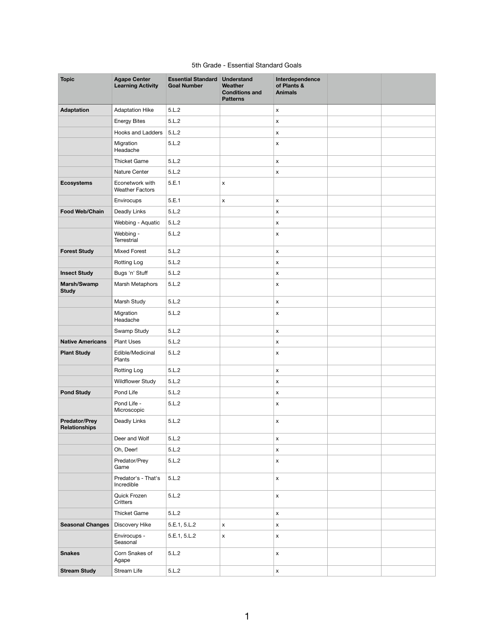## 5th Grade - Essential Standard Goals

| <b>Topic</b>                                 | <b>Agape Center</b><br><b>Learning Activity</b> | <b>Essential Standard</b><br><b>Goal Number</b> | <b>Understand</b><br>Weather<br><b>Conditions and</b><br><b>Patterns</b> | Interdependence<br>of Plants &<br><b>Animals</b> |  |
|----------------------------------------------|-------------------------------------------------|-------------------------------------------------|--------------------------------------------------------------------------|--------------------------------------------------|--|
| <b>Adaptation</b>                            | <b>Adaptation Hike</b>                          | 5.L.2                                           |                                                                          | $\mathsf{x}$                                     |  |
|                                              | <b>Energy Bites</b>                             | 5.L.2                                           |                                                                          | $\pmb{\mathsf{X}}$                               |  |
|                                              | Hooks and Ladders                               | 5.L.2                                           |                                                                          | $\boldsymbol{\mathsf{X}}$                        |  |
|                                              | Migration<br>Headache                           | 5.L.2                                           |                                                                          | $\pmb{\mathsf{X}}$                               |  |
|                                              | <b>Thicket Game</b>                             | 5.L.2                                           |                                                                          | $\pmb{\mathsf{X}}$                               |  |
|                                              | Nature Center                                   | 5.L.2                                           |                                                                          | $\boldsymbol{\mathsf{X}}$                        |  |
| <b>Ecosystems</b>                            | Econetwork with<br><b>Weather Factors</b>       | 5.E.1                                           | $\boldsymbol{\mathsf{X}}$                                                |                                                  |  |
|                                              | Envirocups                                      | 5.E.1                                           | $\mathsf{x}$                                                             | $\pmb{\mathsf{X}}$                               |  |
| <b>Food Web/Chain</b>                        | Deadly Links                                    | 5.L.2                                           |                                                                          | $\mathsf{x}$                                     |  |
|                                              | Webbing - Aquatic                               | 5.L.2                                           |                                                                          | $\pmb{\mathsf{X}}$                               |  |
|                                              | Webbing -<br>Terrestrial                        | 5.L.2                                           |                                                                          | $\pmb{\mathsf{X}}$                               |  |
| <b>Forest Study</b>                          | <b>Mixed Forest</b>                             | 5.L.2                                           |                                                                          | $\mathsf{x}$                                     |  |
|                                              | <b>Rotting Log</b>                              | 5.L.2                                           |                                                                          | $\pmb{\mathsf{X}}$                               |  |
| <b>Insect Study</b>                          | Bugs 'n' Stuff                                  | 5.L.2                                           |                                                                          | $\mathsf{x}$                                     |  |
| Marsh/Swamp<br><b>Study</b>                  | Marsh Metaphors                                 | 5.L.2                                           |                                                                          | $\pmb{\mathsf{X}}$                               |  |
|                                              | Marsh Study                                     | 5.L.2                                           |                                                                          | $\mathsf X$                                      |  |
|                                              | Migration<br>Headache                           | 5.L.2                                           |                                                                          | $\pmb{\mathsf{X}}$                               |  |
|                                              | Swamp Study                                     | 5.L.2                                           |                                                                          | $\mathsf{x}$                                     |  |
| <b>Native Americans</b>                      | <b>Plant Uses</b>                               | 5.L.2                                           |                                                                          | $\mathsf{x}$                                     |  |
| <b>Plant Study</b>                           | Edible/Medicinal<br>Plants                      | 5.L.2                                           |                                                                          | $\mathsf{x}$                                     |  |
|                                              | Rotting Log                                     | 5.L.2                                           |                                                                          | $\boldsymbol{\mathsf{X}}$                        |  |
|                                              | <b>Wildflower Study</b>                         | 5.L.2                                           |                                                                          | $\mathsf{x}$                                     |  |
| <b>Pond Study</b>                            | Pond Life                                       | 5.L.2                                           |                                                                          | $\mathsf{x}$                                     |  |
|                                              | Pond Life -<br>Microscopic                      | 5.L.2                                           |                                                                          | $\mathsf{x}$                                     |  |
| <b>Predator/Prey</b><br><b>Relationships</b> | Deadly Links                                    | 5.L.2                                           |                                                                          | $\pmb{\mathsf{X}}$                               |  |
|                                              | Deer and Wolf                                   | 5.L.2                                           |                                                                          | $\mathsf{x}$                                     |  |
|                                              | Oh, Deer!                                       | 5.L.2                                           |                                                                          | $\mathsf{x}$                                     |  |
|                                              | Predator/Prey<br>Game                           | 5.L.2                                           |                                                                          | $\pmb{\mathsf{X}}$                               |  |
|                                              | Predator's - That's<br>Incredible               | 5.L.2                                           |                                                                          | $\mathsf X$                                      |  |
|                                              | Quick Frozen<br>Critters                        | 5.L.2                                           |                                                                          | $\mathsf X$                                      |  |
|                                              | Thicket Game                                    | 5.L.2                                           |                                                                          | $\mathsf{x}$                                     |  |
| <b>Seasonal Changes</b>                      | Discovery Hike                                  | 5.E.1, 5.L.2                                    | $\mathsf X$                                                              | $\mathsf{X}$                                     |  |
|                                              | Envirocups -<br>Seasonal                        | 5.E.1, 5.L.2                                    | $\mathsf{x}$                                                             | $\mathsf X$                                      |  |
| <b>Snakes</b>                                | Corn Snakes of<br>Agape                         | 5.L.2                                           |                                                                          | $\pmb{\mathsf{X}}$                               |  |
| <b>Stream Study</b>                          | Stream Life                                     | 5.L.2                                           |                                                                          | $\mathsf X$                                      |  |

1